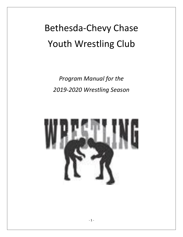# Bethesda-Chevy Chase Youth Wrestling Club

*Program Manual for the 2019-2020 Wrestling Season*

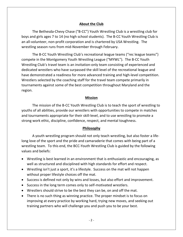## **About the Club**

The Bethesda-Chevy Chase ("B-CC") Youth Wrestling Club is a wrestling club for boys and girls ages 7 to 14 (no high school students). The B-CC Youth Wrestling Club is an all-volunteer, non-profit corporation and is chartered by USA Wrestling. The wrestling season runs from mid-November through February.

The B-CC Youth Wrestling Club's recreational league teams ("rec league teams") compete in the Montgomery Youth Wrestling League ("MYWL"). The B-CC Youth Wrestling Club's travel team is an invitation-only team consisting of experienced and dedicated wrestlers who have surpassed the skill level of the recreational league and have demonstrated a readiness for more advanced training and high-level competition. Wrestlers selected by the coaching staff for the travel team compete primarily in tournaments against some of the best competition throughout Maryland and the region.

### **Mission**

The mission of the B-CC Youth Wrestling Club is to teach the sport of wrestling to youths of all abilities, provide our wrestlers with opportunities to compete in matches and tournaments appropriate for their skill-level, and to use wrestling to promote a strong work ethic, discipline, confidence, respect, and mental toughness.

#### **Philosophy**

A youth wrestling program should not only teach wrestling, but also foster a lifelong love of the sport and the pride and camaraderie that comes with being part of a wrestling team. To this end, the BCC-Youth Wrestling Club is guided by the following values and beliefs:

- Wrestling is best learned in an environment that is enthusiastic and encouraging, as well as structured and disciplined with high standards for effort and respect.
- Wrestling isn't just a sport, it's a lifestyle. Success on the mat will not happen without proper lifestyle choices off the mat.
- Success is defined not only by wins and losses, but also effort and improvement.
- Success in the long term comes only to self-motivated wrestlers.
- Wrestlers should strive to be the best they can be, on and off the mat.
- There is no such thing as winning practice. The proper mindset is to focus on improving at every practice by working hard, trying new moves, and seeking out training partners who will challenge you and push you to be your best.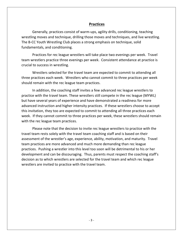## **Practices**

Generally, practices consist of warm-ups, agility drills, conditioning, teaching wrestling moves and technique, drilling those moves and techniques, and live wrestling. The B-CC Youth Wrestling Club places a strong emphasis on technique, solid fundamentals, and conditioning.

Practices for rec league wrestlers will take place two evenings per week. Travel team wrestlers practice three evenings per week. Consistent attendance at practice is crucial to success in wrestling.

Wrestlers selected for the travel team are expected to commit to attending all three practices each week. Wrestlers who cannot commit to three practices per week should remain with the rec league team practices.

In addition, the coaching staff invites a few advanced rec league wrestlers to practice with the travel team. These wrestlers still compete in the rec league (MYWL) but have several years of experience and have demonstrated a readiness for more advanced instruction and higher intensity practices. If these wrestlers choose to accept this invitation, they too are expected to commit to attending all three practices each week. If they cannot commit to three practices per week, these wrestlers should remain with the rec league team practices.

Please note that the decision to invite rec league wrestlers to practice with the travel team rests solely with the travel team coaching staff and is based on their assessment of the wrestler's age, experience, ability, motivation, and maturity. Travel team practices are more advanced and much more demanding than rec league practices. Pushing a wrestler into this level too soon will be detrimental to his or her development and can be discouraging. Thus, parents must respect the coaching staff's decision as to which wrestlers are selected for the travel team and which rec league wrestlers are invited to practice with the travel team.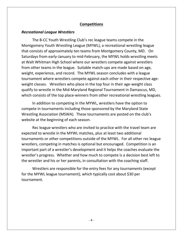# **Competitions**

## *Recreational League Wrestlers*

The B-CC Youth Wrestling Club's rec league teams compete in the Montgomery Youth Wrestling League (MYWL), a recreational wrestling league that consists of approximately ten teams from Montgomery County, MD. On Saturdays from early-January to mid-February, the MYWL holds wrestling meets at Walt Whitman High School where our wrestlers compete against wrestlers from other teams in the league. Suitable match-ups are made based on age, weight, experience, and record. The MYWL season concludes with a league tournament where wrestlers compete against each other in their respective ageweight classes. Wrestlers who place in the top four in their age-weight class qualify to wrestle in the Mid-Maryland Regional Tournament in Damascus, MD, which consists of the top place-winners from other recreational wrestling leagues.

In addition to competing in the MYWL, wrestlers have the option to compete in tournaments including those sponsored by the Maryland State Wrestling Association (MSWA). These tournaments are posted on the club's website at the beginning of each season.

Rec league wrestlers who are invited to practice with the travel team are expected to wrestle in the MYWL matches, plus at least two additional tournaments or other competitions outside of the MYWL. For all other rec league wrestlers, competing in matches is optional but encouraged. Competition is an important part of a wrestler's development and it helps the coaches evaluate the wrestler's progress. Whether and how much to compete is a decision best left to the wrestler and his or her parents, in consultation with the coaching staff.

Wrestlers are responsible for the entry fees for any tournaments (except for the MYWL league tournament), which typically cost about \$30 per tournament.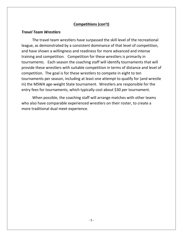# **Competitions (con't)**

# *Travel Team Wrestlers*

The travel team wrestlers have surpassed the skill level of the recreational league, as demonstrated by a consistent dominance of that level of competition, and have shown a willingness and readiness for more advanced and intense training and competition. Competition for these wrestlers is primarily in tournaments. Each season the coaching staff will identify tournaments that will provide these wrestlers with suitable competition in terms of distance and level of competition. The goal is for these wrestlers to compete in eight to ten tournaments per season, including at least one attempt to qualify for (and wrestle in) the MSWA age-weight State tournament. Wrestlers are responsible for the entry fees for tournaments, which typically cost about \$30 per tournament.

When possible, the coaching staff will arrange matches with other teams who also have comparable experienced wrestlers on their roster, to create a more traditional dual meet experience.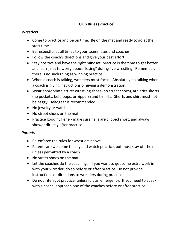# **Club Rules (Practice)**

# *Wrestlers*

- Come to practice and be on time. Be on the mat and ready to go at the start time.
- Be respectful at all times to your teammates and coaches.
- Follow the coach's directions and give your best effort.
- Stay positive and have the right mindset: practice is the time to get better and learn, not to worry about "losing" during live wrestling. Remember, there is no such thing as winning practice.
- When a coach is talking, wrestlers must focus. Absolutely no talking when a coach is giving instructions or giving a demonstration.
- Wear appropriate attire: wrestling shoes (no street shoes), athletics shorts (no pockets, belt loops, or zippers) and t-shirts. Shorts and shirt must not be baggy. Headgear is recommended.
- No jewelry or watches.
- No street shoes on the mat.
- Practice good hygiene make sure nails are clipped short, and always shower directly after practice.

# *Parents*

- Re-enforce the rules for wrestlers above.
- Parents are welcome to stay and watch practice, but must stay off the mat unless permitted by a coach.
- No street shoes on the mat.
- Let the coaches do the coaching. If you want to get some extra work in with your wrestler, do so before or after practice. Do not provide instructions or directions to wrestlers during practice.
- Do not interrupt practice, unless it is an emergency. If you need to speak with a coach, approach one of the coaches before or after practice.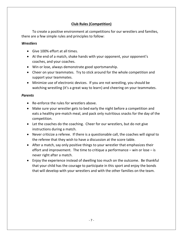# **Club Rules (Competition)**

To create a positive environment at competitions for our wrestlers and families, there are a few simple rules and principles to follow:

## *Wrestlers*

- Give 100% effort at all times.
- At the end of a match, shake hands with your opponent, your opponent's coaches, and your coaches.
- Win or lose, always demonstrate good sportsmanship.
- Cheer on your teammates. Try to stick around for the whole competition and support your teammates.
- Minimize use of electronic devices. If you are not wrestling, you should be watching wrestling (it's a great way to learn) and cheering on your teammates.

## *Parents*

- Re-enforce the rules for wrestlers above.
- Make sure your wrestler gets to bed early the night before a competition and eats a healthy pre-match meal, and pack only nutritious snacks for the day of the competition.
- Let the coaches do the coaching. Cheer for our wrestlers, but do not give instructions during a match.
- Never criticize a referee. If there is a questionable call, the coaches will signal to the referee that they wish to have a discussion at the score table.
- After a match, say only positive things to your wrestler that emphasizes their effort and improvement. The time to critique a performance  $-$  win or lose  $-$  is never right after a match.
- Enjoy the experience instead of dwelling too much on the outcome. Be thankful that your child has the courage to participate in this sport and enjoy the bonds that will develop with your wrestlers and with the other families on the team.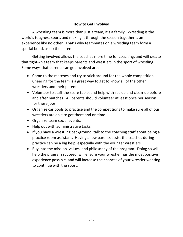# **How to Get Involved**

A wrestling team is more than just a team, it's a family. Wrestling is the world's toughest sport, and making it through the season together is an experience like no other. That's why teammates on a wrestling team form a special bond, as do the parents.

Getting involved allows the coaches more time for coaching, and will create that tight-knit team that keeps parents and wrestlers in the sport of wrestling. Some ways that parents can get involved are:

- Come to the matches and try to stick around for the whole competition. Cheering for the team is a great way to get to know all of the other wrestlers and their parents.
- Volunteer to staff the score table, and help with set-up and clean-up before and after matches. All parents should volunteer at least once per season for these jobs.
- Organize car pools to practice and the competitions to make sure all of our wrestlers are able to get there and on time.
- Organize team social events.
- Help out with administrative tasks.
- If you have a wrestling background, talk to the coaching staff about being a practice room assistant. Having a few parents assist the coaches during practice can be a big help, especially with the younger wrestlers.
- Buy into the mission, values, and philosophy of the program. Doing so will help the program succeed, will ensure your wrestler has the most positive experience possible, and will increase the chances of your wrestler wanting to continue with the sport.